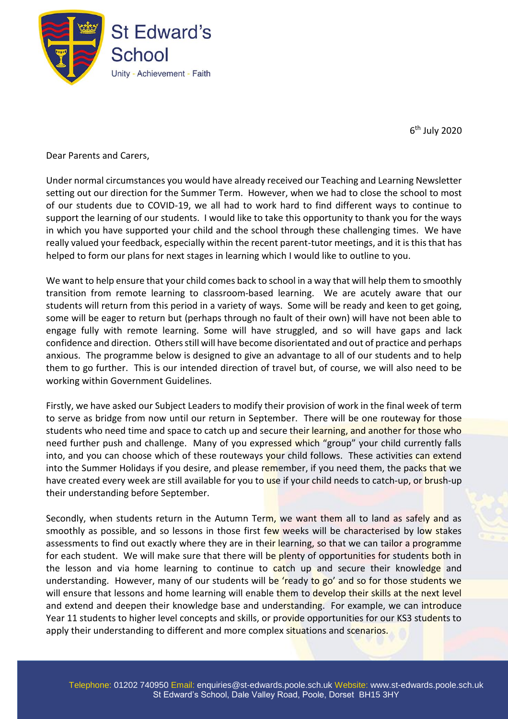

6<sup>th</sup> July 2020

Dear Parents and Carers,

Under normal circumstances you would have already received our Teaching and Learning Newsletter setting out our direction for the Summer Term. However, when we had to close the school to most of our students due to COVID-19, we all had to work hard to find different ways to continue to support the learning of our students. I would like to take this opportunity to thank you for the ways in which you have supported your child and the school through these challenging times. We have really valued your feedback, especially within the recent parent-tutor meetings, and it is this that has helped to form our plans for next stages in learning which I would like to outline to you.

We want to help ensure that your child comes back to school in a way that will help them to smoothly transition from remote learning to classroom-based learning. We are acutely aware that our students will return from this period in a variety of ways. Some will be ready and keen to get going, some will be eager to return but (perhaps through no fault of their own) will have not been able to engage fully with remote learning. Some will have struggled, and so will have gaps and lack confidence and direction. Others still will have become disorientated and out of practice and perhaps anxious. The programme below is designed to give an advantage to all of our students and to help them to go further. This is our intended direction of travel but, of course, we will also need to be working within Government Guidelines.

Firstly, we have asked our Subject Leaders to modify their provision of work in the final week of term to serve as bridge from now until our return in September. There will be one routeway for those students who need time and space to catch up and secure their learning, and another for those who need further push and challenge. Many of you expressed which "group" your child currently falls into, and you can choose which of these routeways your child follows. These activities can extend into the Summer Holidays if you desire, and please remember, if you need them, the packs that we have created every week are still available for you to use if your child needs to catch-up, or brush-up their understanding before September.

Secondly, when students return in the Autumn Term, we want them all to land as safely and as smoothly as possible, and so lessons in those first few weeks will be characterised by low stakes assessments to find out exactly where they are in their learning, so that we can tailor a programme for each student. We will make sure that there will be plenty of opportunities for students both in the lesson and via home learning to continue to catch up and secure their knowledge and understanding. However, many of our students will be 'ready to go' and so for those students we will ensure that lessons and home learning will enable them to develop their skills at the next level and extend and deepen their knowledge base and understanding. For example, we can introduce Year 11 students to higher level concepts and skills, or provide opportunities for our KS3 students to apply their understanding to different and more complex situations and scenarios.